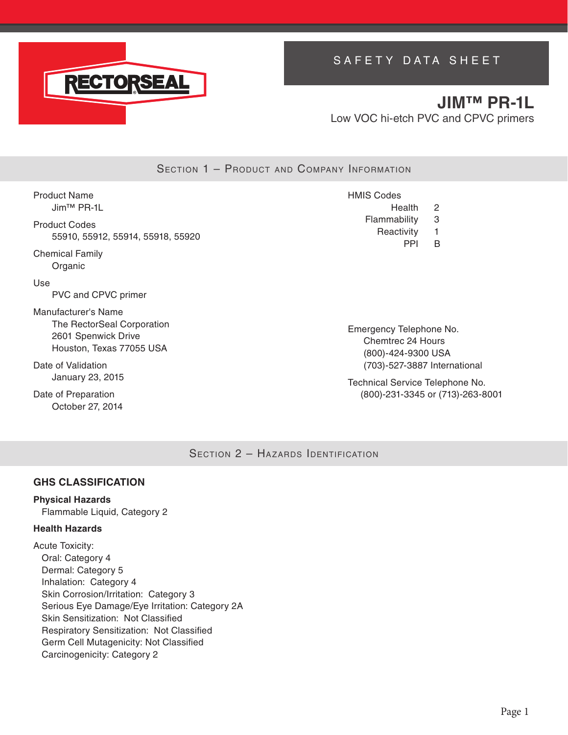

# SAFETY DATA SHEET

# **JIM™ PR-1L** Low VOC hi-etch PVC and CPVC primers

SECTION 1 - PRODUCT AND COMPANY INFORMATION

Product Name Jim™ PR-1L Product Codes 55910, 55912, 55914, 55918, 55920 Chemical Family Organic Use PVC and CPVC primer Manufacturer's Name The RectorSeal Corporation 2601 Spenwick Drive Houston, Texas 77055 USA Date of Validation HMIS Codes Health 2 Flammability 3 Reactivity 1 PPI B Emergency Telephone No. Chemtrec 24 Hours (800)-424-9300 USA (703)-527-3887 International

> Technical Service Telephone No. (800)-231-3345 or (713)-263-8001

SECTION 2 - HAZARDS IDENTIFICATION

# **GHS CLASSIFICATION**

January 23, 2015

Date of Preparation October 27, 2014

### **Physical Hazards**

Flammable Liquid, Category 2

### **Health Hazards**

Acute Toxicity: Oral: Category 4 Dermal: Category 5 Inhalation: Category 4 Skin Corrosion/Irritation: Category 3 Serious Eye Damage/Eye Irritation: Category 2A Skin Sensitization: Not Classified Respiratory Sensitization: Not Classified Germ Cell Mutagenicity: Not Classified Carcinogenicity: Category 2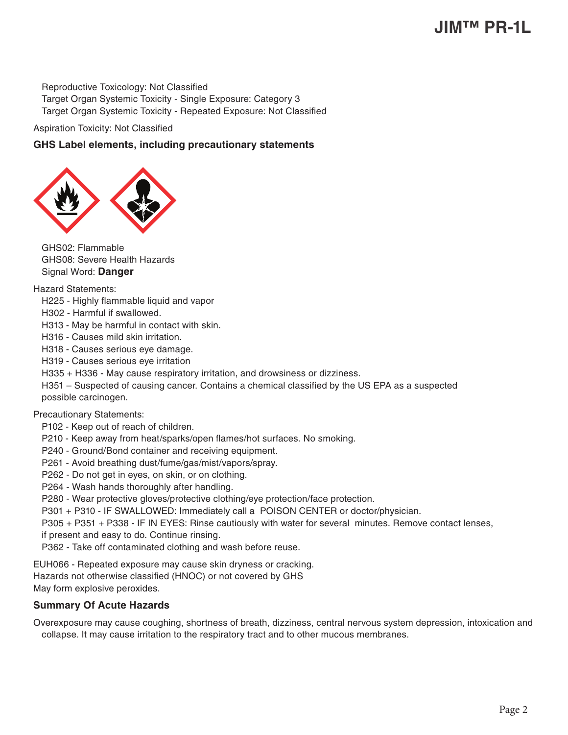# **JIM™ PR-1L**

Reproductive Toxicology: Not Classified Target Organ Systemic Toxicity - Single Exposure: Category 3 Target Organ Systemic Toxicity - Repeated Exposure: Not Classified

Aspiration Toxicity: Not Classified

### **GHS Label elements, including precautionary statements**



GHS02: Flammable GHS08: Severe Health Hazards Signal Word: **Danger**

Hazard Statements:

- H225 Highly flammable liquid and vapor
- H302 Harmful if swallowed.
- H313 May be harmful in contact with skin.
- H316 Causes mild skin irritation.
- H318 Causes serious eye damage.
- H319 Causes serious eye irritation
- H335 + H336 May cause respiratory irritation, and drowsiness or dizziness.
- H351 Suspected of causing cancer. Contains a chemical classified by the US EPA as a suspected possible carcinogen.

#### Precautionary Statements:

- P102 Keep out of reach of children.
- P210 Keep away from heat/sparks/open flames/hot surfaces. No smoking.
- P240 Ground/Bond container and receiving equipment.
- P261 Avoid breathing dust/fume/gas/mist/vapors/spray.
- P262 Do not get in eyes, on skin, or on clothing.
- P264 Wash hands thoroughly after handling.
- P280 Wear protective gloves/protective clothing/eye protection/face protection.
- P301 + P310 IF SWALLOWED: Immediately call a POISON CENTER or doctor/physician.

P305 + P351 + P338 - IF IN EYES: Rinse cautiously with water for several minutes. Remove contact lenses,

- if present and easy to do. Continue rinsing.
- P362 Take off contaminated clothing and wash before reuse.

EUH066 - Repeated exposure may cause skin dryness or cracking. Hazards not otherwise classified (HNOC) or not covered by GHS May form explosive peroxides.

### **Summary Of Acute Hazards**

Overexposure may cause coughing, shortness of breath, dizziness, central nervous system depression, intoxication and collapse. It may cause irritation to the respiratory tract and to other mucous membranes.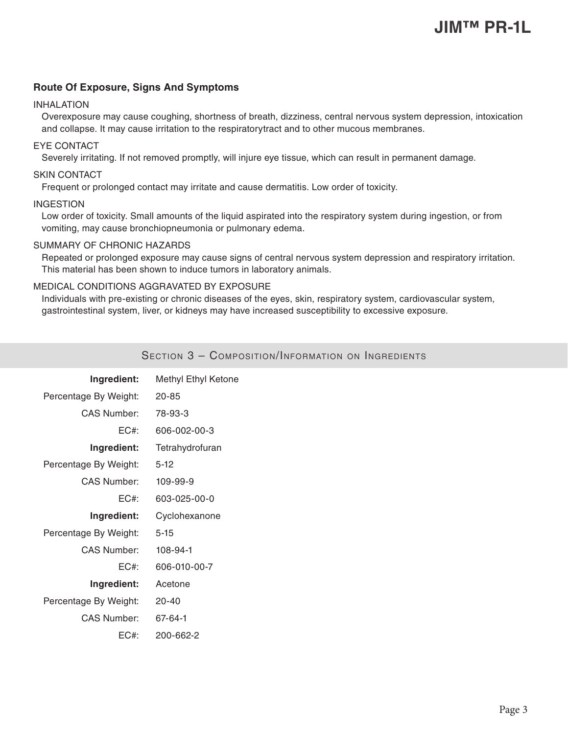### **Route Of Exposure, Signs And Symptoms**

#### INHALATION

Overexposure may cause coughing, shortness of breath, dizziness, central nervous system depression, intoxication and collapse. It may cause irritation to the respiratorytract and to other mucous membranes.

### EYE CONTACT

Severely irritating. If not removed promptly, will injure eye tissue, which can result in permanent damage.

#### SKIN CONTACT

Frequent or prolonged contact may irritate and cause dermatitis. Low order of toxicity.

#### INGESTION

Low order of toxicity. Small amounts of the liquid aspirated into the respiratory system during ingestion, or from vomiting, may cause bronchiopneumonia or pulmonary edema.

#### SUMMARY OF CHRONIC HAZARDS

Repeated or prolonged exposure may cause signs of central nervous system depression and respiratory irritation. This material has been shown to induce tumors in laboratory animals.

#### MEDICAL CONDITIONS AGGRAVATED BY EXPOSURE

Individuals with pre-existing or chronic diseases of the eyes, skin, respiratory system, cardiovascular system, gastrointestinal system, liver, or kidneys may have increased susceptibility to excessive exposure.

| Ingredient:           | Methyl Ethyl Ketone |
|-----------------------|---------------------|
| Percentage By Weight: | $20 - 85$           |
| <b>CAS Number:</b>    | 78-93-3             |
| $EC#$ :               | 606-002-00-3        |
| Ingredient:           | Tetrahydrofuran     |
| Percentage By Weight: | $5-12$              |
| <b>CAS Number:</b>    | 109-99-9            |
| $EC#$ :               | 603-025-00-0        |
| Ingredient:           | Cyclohexanone       |
| Percentage By Weight: | $5 - 15$            |
| <b>CAS Number:</b>    | 108-94-1            |
| $EC#$ :               | 606-010-00-7        |
| Ingredient:           | Acetone             |
| Percentage By Weight: | $20 - 40$           |
| <b>CAS Number:</b>    | 67-64-1             |
| $EC#$ :               | 200-662-2           |

Section 3 – Composition/Information on Ingredients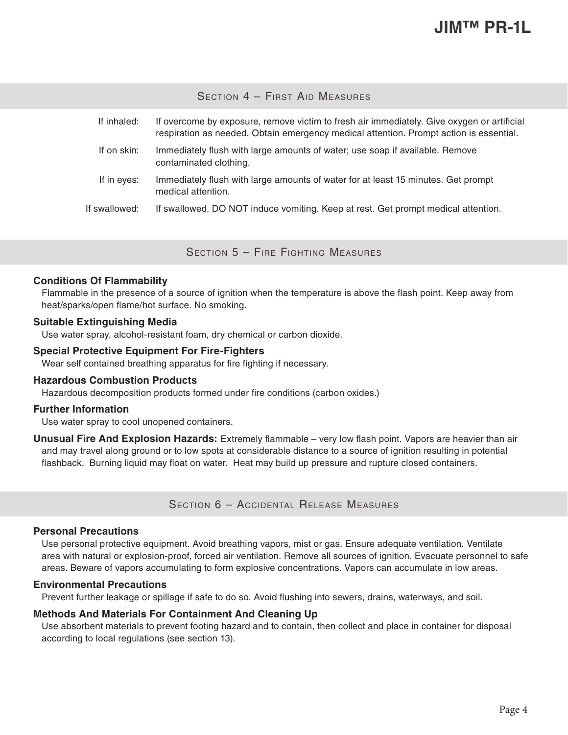SECTION 4 - FIRST AID MEASURES

| If inhaled:   | If overcome by exposure, remove victim to fresh air immediately. Give oxygen or artificial<br>respiration as needed. Obtain emergency medical attention. Prompt action is essential. |
|---------------|--------------------------------------------------------------------------------------------------------------------------------------------------------------------------------------|
| If on skin:   | Immediately flush with large amounts of water; use soap if available. Remove<br>contaminated clothing.                                                                               |
| If in eyes:   | Immediately flush with large amounts of water for at least 15 minutes. Get prompt<br>medical attention.                                                                              |
| If swallowed: | If swallowed, DO NOT induce vomiting. Keep at rest. Get prompt medical attention.                                                                                                    |

Section 5 – Fire Fighting Measures

#### **Conditions Of Flammability**

Flammable in the presence of a source of ignition when the temperature is above the flash point. Keep away from heat/sparks/open flame/hot surface. No smoking.

#### **Suitable Extinguishing Media**

Use water spray, alcohol-resistant foam, dry chemical or carbon dioxide.

### **Special Protective Equipment For Fire-Fighters**

Wear self contained breathing apparatus for fire fighting if necessary.

#### **Hazardous Combustion Products**

Hazardous decomposition products formed under fire conditions (carbon oxides.)

#### **Further Information**

Use water spray to cool unopened containers.

**Unusual Fire And Explosion Hazards:** Extremely flammable – very low flash point. Vapors are heavier than air and may travel along ground or to low spots at considerable distance to a source of ignition resulting in potential flashback. Burning liquid may float on water. Heat may build up pressure and rupture closed containers.

Section 6 – Accidental Release Measures

#### **Personal Precautions**

Use personal protective equipment. Avoid breathing vapors, mist or gas. Ensure adequate ventilation. Ventilate area with natural or explosion-proof, forced air ventilation. Remove all sources of ignition. Evacuate personnel to safe areas. Beware of vapors accumulating to form explosive concentrations. Vapors can accumulate in low areas.

#### **Environmental Precautions**

Prevent further leakage or spillage if safe to do so. Avoid flushing into sewers, drains, waterways, and soil.

#### **Methods And Materials For Containment And Cleaning Up**

Use absorbent materials to prevent footing hazard and to contain, then collect and place in container for disposal according to local regulations (see section 13).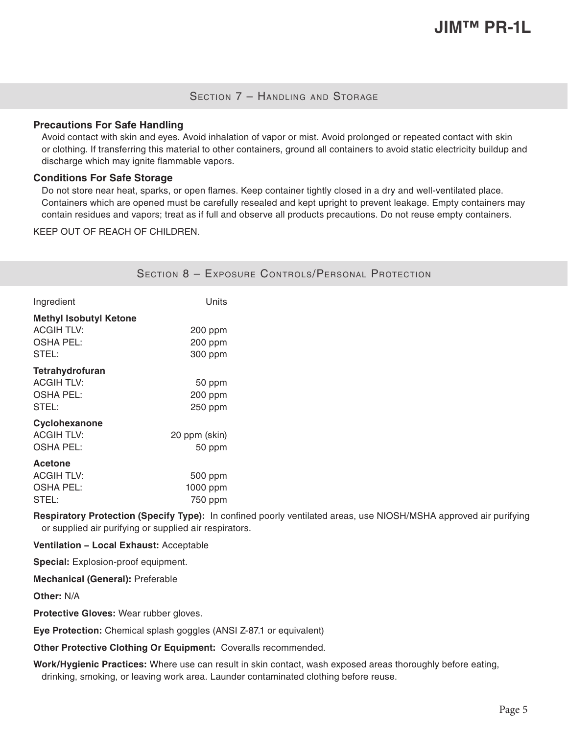## SECTION 7 - HANDLING AND STORAGE

#### **Precautions For Safe Handling**

Avoid contact with skin and eyes. Avoid inhalation of vapor or mist. Avoid prolonged or repeated contact with skin or clothing. If transferring this material to other containers, ground all containers to avoid static electricity buildup and discharge which may ignite flammable vapors.

#### **Conditions For Safe Storage**

Do not store near heat, sparks, or open flames. Keep container tightly closed in a dry and well-ventilated place. Containers which are opened must be carefully resealed and kept upright to prevent leakage. Empty containers may contain residues and vapors; treat as if full and observe all products precautions. Do not reuse empty containers.

KEEP OUT OF REACH OF CHILDREN.

|                                                                                 |                                | SECTION 8 - EXPOSURE CONTROLS/PERSONAL PROTECTION |
|---------------------------------------------------------------------------------|--------------------------------|---------------------------------------------------|
| Ingredient                                                                      | Units                          |                                                   |
| <b>Methyl Isobutyl Ketone</b><br><b>ACGIH TLV:</b><br><b>OSHA PEL:</b><br>STEL: | 200 ppm<br>200 ppm<br>300 ppm  |                                                   |
| Tetrahydrofuran<br><b>ACGIH TLV:</b><br><b>OSHA PEL:</b><br>STEL:               | 50 ppm<br>200 ppm<br>250 ppm   |                                                   |
| Cyclohexanone<br><b>ACGIH TLV:</b><br><b>OSHA PEL:</b>                          | 20 ppm (skin)<br>50 ppm        |                                                   |
| <b>Acetone</b><br><b>ACGIH TLV:</b><br><b>OSHA PEL:</b><br>STEL:                | 500 ppm<br>1000 ppm<br>750 ppm |                                                   |

**Respiratory Protection (Specify Type):** In confined poorly ventilated areas, use NIOSH/MSHA approved air purifying or supplied air purifying or supplied air respirators.

#### **Ventilation − Local Exhaust:** Acceptable

**Special:** Explosion-proof equipment.

**Mechanical (General):** Preferable

**Other:** N/A

**Protective Gloves:** Wear rubber gloves.

**Eye Protection:** Chemical splash goggles (ANSI Z-87.1 or equivalent)

**Other Protective Clothing Or Equipment:** Coveralls recommended.

**Work/Hygienic Practices:** Where use can result in skin contact, wash exposed areas thoroughly before eating, drinking, smoking, or leaving work area. Launder contaminated clothing before reuse.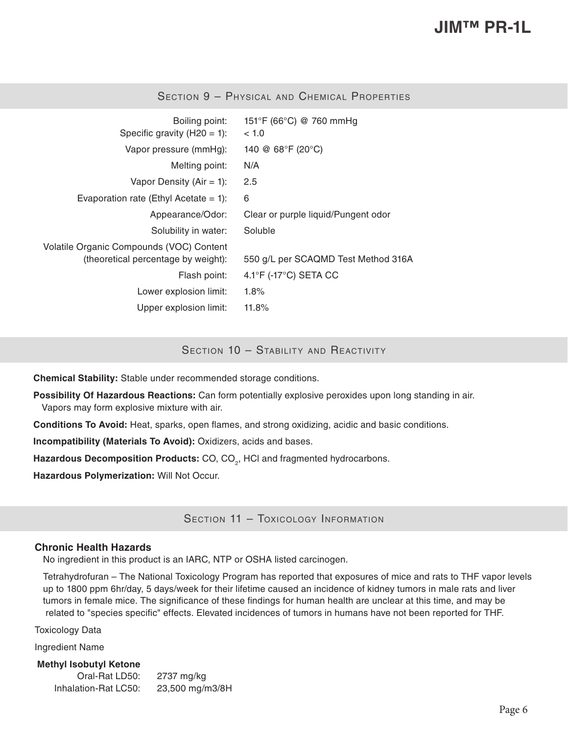| Boiling point:<br>Specific gravity ( $H20 = 1$ ):                               | 151°F (66°C) @ 760 mmHg<br>~< 1.0          |
|---------------------------------------------------------------------------------|--------------------------------------------|
| Vapor pressure (mmHg):                                                          | 140 @ $68^{\circ}F(20^{\circ}C)$           |
| Melting point:                                                                  | N/A                                        |
| Vapor Density (Air = 1):                                                        | 2.5                                        |
| Evaporation rate (Ethyl Acetate = 1):                                           | 6                                          |
| Appearance/Odor:                                                                | Clear or purple liquid/Pungent odor        |
| Solubility in water:                                                            | Soluble                                    |
| Volatile Organic Compounds (VOC) Content<br>(theoretical percentage by weight): | 550 g/L per SCAQMD Test Method 316A        |
| Flash point:                                                                    | $4.1^{\circ}$ F (-17 $^{\circ}$ C) SETA CC |
| Lower explosion limit:                                                          | 1.8%                                       |
| Upper explosion limit:                                                          | 11.8%                                      |

Section 9 – Physical and Chemical Properties

SECTION 10 - STABILITY AND REACTIVITY

**Chemical Stability:** Stable under recommended storage conditions.

**Possibility Of Hazardous Reactions:** Can form potentially explosive peroxides upon long standing in air. Vapors may form explosive mixture with air.

**Conditions To Avoid:** Heat, sparks, open flames, and strong oxidizing, acidic and basic conditions.

**Incompatibility (Materials To Avoid):** Oxidizers, acids and bases.

Hazardous Decomposition Products: CO, CO<sub>2</sub>, HCI and fragmented hydrocarbons.

**Hazardous Polymerization:** Will Not Occur.

SECTION 11 - TOXICOLOGY INFORMATION

#### **Chronic Health Hazards**

No ingredient in this product is an IARC, NTP or OSHA listed carcinogen.

Tetrahydrofuran – The National Toxicology Program has reported that exposures of mice and rats to THF vapor levels up to 1800 ppm 6hr/day, 5 days/week for their lifetime caused an incidence of kidney tumors in male rats and liver tumors in female mice. The significance of these findings for human health are unclear at this time, and may be related to "species specific" effects. Elevated incidences of tumors in humans have not been reported for THF.

Toxicology Data

Ingredient Name

**Methyl Isobutyl Ketone** Oral-Rat LD50: 2737 mg/kg Inhalation-Rat LC50: 23,500 mg/m3/8H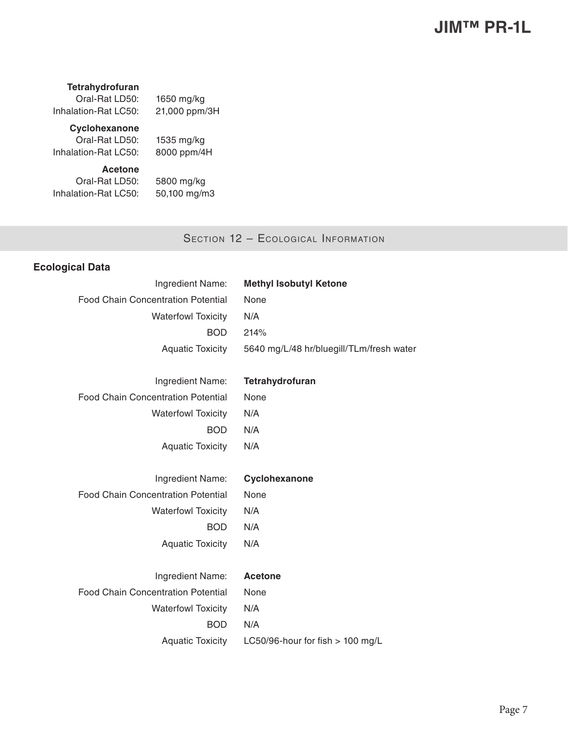### **Tetrahydrofuran**

Oral-Rat LD50: 1650 mg/kg Inhalation-Rat LC50: 21,000 ppm/3H

# **Cyclohexanone**

Oral-Rat LD50: 1535 mg/kg Inhalation-Rat LC50: 8000 ppm/4H

**Acetone**

Oral-Rat LD50: 5800 mg/kg Inhalation-Rat LC50: 50,100 mg/m3

# SECTION 12 - ECOLOGICAL INFORMATION

# **Ecological Data**

| Ingredient Name:                          | <b>Methyl Isobutyl Ketone</b>            |
|-------------------------------------------|------------------------------------------|
| <b>Food Chain Concentration Potential</b> | None                                     |
| <b>Waterfowl Toxicity</b>                 | N/A                                      |
| <b>BOD</b>                                | 214%                                     |
| <b>Aquatic Toxicity</b>                   | 5640 mg/L/48 hr/bluegill/TLm/fresh water |
|                                           |                                          |
| Ingredient Name:                          | Tetrahydrofuran                          |
| <b>Food Chain Concentration Potential</b> | None                                     |
| <b>Waterfowl Toxicity</b>                 | N/A                                      |
| <b>BOD</b>                                | N/A                                      |
| <b>Aquatic Toxicity</b>                   | N/A                                      |
|                                           |                                          |
| Ingredient Name:                          | Cyclohexanone                            |
| <b>Food Chain Concentration Potential</b> | None                                     |
| <b>Waterfowl Toxicity</b>                 | N/A                                      |
| <b>BOD</b>                                | N/A                                      |
| <b>Aquatic Toxicity</b>                   | N/A                                      |
|                                           |                                          |
| Ingredient Name:                          | <b>Acetone</b>                           |
| <b>Food Chain Concentration Potential</b> | None                                     |
| <b>Waterfowl Toxicity</b>                 | N/A                                      |
| <b>BOD</b>                                | N/A                                      |
| <b>Aquatic Toxicity</b>                   | LC50/96-hour for fish $> 100$ mg/L       |
|                                           |                                          |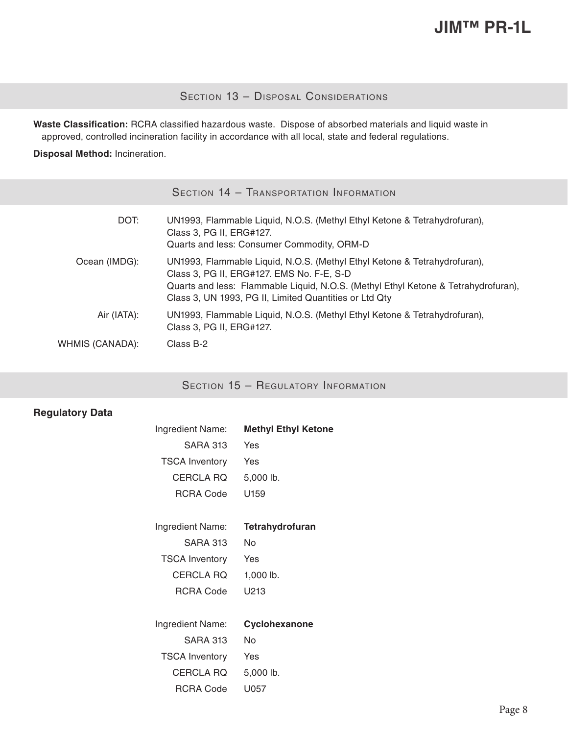# Section 13 - Disposal Considerations

**Waste Classification:** RCRA classified hazardous waste. Dispose of absorbed materials and liquid waste in approved, controlled incineration facility in accordance with all local, state and federal regulations.

**Disposal Method:** Incineration.

|                 | SECTION 14 - TRANSPORTATION INFORMATION                                                                                                                                                                                                                                |
|-----------------|------------------------------------------------------------------------------------------------------------------------------------------------------------------------------------------------------------------------------------------------------------------------|
| DOT:            | UN1993, Flammable Liquid, N.O.S. (Methyl Ethyl Ketone & Tetrahydrofuran),<br>Class 3, PG II, ERG#127.<br>Quarts and less: Consumer Commodity, ORM-D                                                                                                                    |
| Ocean (IMDG):   | UN1993, Flammable Liquid, N.O.S. (Methyl Ethyl Ketone & Tetrahydrofuran),<br>Class 3, PG II, ERG#127. EMS No. F-E, S-D<br>Quarts and less: Flammable Liquid, N.O.S. (Methyl Ethyl Ketone & Tetrahydrofuran),<br>Class 3, UN 1993, PG II, Limited Quantities or Ltd Qty |
| Air (IATA):     | UN1993, Flammable Liquid, N.O.S. (Methyl Ethyl Ketone & Tetrahydrofuran),<br>Class 3, PG II, ERG#127.                                                                                                                                                                  |
| WHMIS (CANADA): | Class B-2                                                                                                                                                                                                                                                              |

# SECTION 15 - REGULATORY INFORMATION

## **Regulatory Data**

| Ingredient Name:      | <b>Methyl Ethyl Ketone</b> |
|-----------------------|----------------------------|
| <b>SARA 313</b>       | Yes                        |
| <b>TSCA Inventory</b> | Yes                        |
| <b>CERCLA RQ</b>      | 5,000 lb.                  |
| RCRA Code             | U <sub>159</sub>           |
|                       |                            |
| Ingredient Name:      | Tetrahydrofuran            |
| <b>SARA 313</b>       | No                         |
| <b>TSCA Inventory</b> | Yes                        |
| <b>CERCLA RQ</b>      | 1,000 lb.                  |
| <b>RCRA Code</b>      | U213                       |
|                       |                            |
| Ingredient Name:      | Cyclohexanone              |
| <b>SARA 313</b>       | No                         |
| <b>TSCA Inventory</b> | Yes                        |
| CERCLA RQ             | 5,000 lb.                  |
| <b>RCRA Code</b>      | U057                       |
|                       |                            |